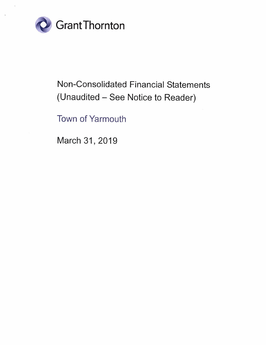

# Non-Consolidated Financial Statements (Unaudited - See Notice to Reader)

Town of Yarmouth

March 31, 2019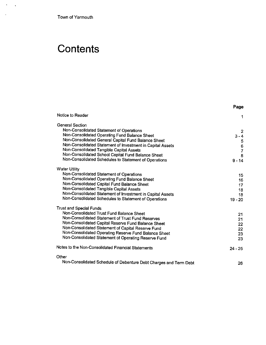Town of Yarmouth

 $\mathcal{A}^{\text{max}}$ 

 $\ddot{\phantom{a}}$ 

# **Contents**

|                                                                   | Page                                  |
|-------------------------------------------------------------------|---------------------------------------|
| Notice to Reader                                                  | 1                                     |
| <b>General Section</b>                                            |                                       |
| Non-Consolidated Statement of Operations                          | $\mathbf{2}$                          |
| Non-Consolidated Operating Fund Balance Sheet                     | $3 - 4$                               |
| Non-Consolidated General Capital Fund Balance Sheet               |                                       |
| Non-Consolidated Statement of Investment in Capital Assets        | $\begin{array}{c} 5 \\ 6 \end{array}$ |
| Non-Consolidated Tangible Capital Assets                          | $\overline{7}$                        |
| Non-Consolidated School Capital Fund Balance Sheet                | 8                                     |
| Non-Consolidated Schedules to Statement of Operations             | $9 - 14$                              |
| <b>Water Utility</b>                                              |                                       |
| Non-Consolidated Statement of Operations                          | 15                                    |
| Non-Consolidated Operating Fund Balance Sheet                     | 16                                    |
| Non-Consolidated Capital Fund Balance Sheet                       | 17                                    |
| Non-Consolidated Tangible Capital Assets                          | 18                                    |
| Non-Consolidated Statement of Investment in Capital Assets        | 18                                    |
| Non-Consolidated Schedules to Statement of Operations             | $19 - 20$                             |
| <b>Trust and Special Funds</b>                                    |                                       |
| Non-Consolidated Trust Fund Balance Sheet                         | 21.                                   |
| Non-Consolidated Statement of Trust Fund Reserves                 | 21                                    |
| Non-Consolidated Capital Reserve Fund Balance Sheet               | 22                                    |
| Non-Consolidated Statement of Capital Reserve Fund                | 22                                    |
| Non-Consolidated Operating Reserve Fund Balance Sheet             | 23                                    |
| Non-Consolidated Statement of Operating Reserve Fund              | 23                                    |
| Notes to the Non-Consolidated Financial Statements                | $24 - 25$                             |
| Other                                                             |                                       |
| Non-Consolidated Schedule of Debenture Debt Charges and Term Debt | 26                                    |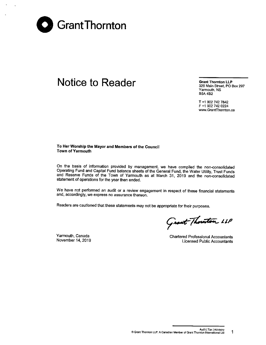

## Notice to Reader Grant Thornton LLP

328 Main Street, PO Box 297 Yarmouth, NS B5A482

T +1 902 742 7842 F +1 902 742 0224 www.GrantThornton.ca

#### To Her Worship the Mayor and Members of the Council Town of Yarmouth

On the basis of information provided by management, we have compiled the non-consolidated Operating Fund and Capital Fund balance sheets of the General Fund, the Water Utility, Trust Funds and Reserve Funds of the Town of Yarmouth as at March 31, 2019 and the non-consolidated statement of operations for the year then ended.

We have not performed an audit or a review engagement in respect of these financial statements and, accordingly, we express no assurance thereon.

Readers are cautioned that these statements may not be appropriate for their purposes.

Grant Thouston LLP

Yarmouth, Canada November 14, 2019

Chartered Professional Accountants **Licensed Public Accountants**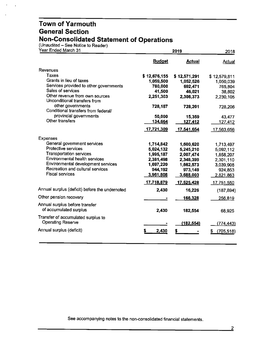(Unaudited – See Notice to Reader

 $\alpha$  $\ddot{\phantom{a}}$ 

| Year Ended March 31                                            |               | 2018          |                  |
|----------------------------------------------------------------|---------------|---------------|------------------|
|                                                                | <b>Budget</b> | <b>Actual</b> | Actual           |
| Revenues                                                       |               |               |                  |
| <b>Taxes</b>                                                   | \$12,676,155  | \$12,571,291  | \$12,579,811     |
| Grants in lieu of taxes                                        | 1,059,500     | 1,052,526     | 1,050,039        |
| Services provided to other governments                         | 780,000       | 692,471       | 765,804          |
| Sales of services                                              | 41,500        | 46,021        | 38,802           |
| Other revenue from own sources<br>Unconditional transfers from | 2,251,303     | 2,308,373     | 2,230,105        |
| other governments<br>Conditional transfers from federal/       | 728,187       | 728,201       | 728,206          |
| provincial governments                                         | 50,000        | 15,359        | 43,477           |
| Other transfers                                                | 134,664       | 127,412       | 127,412          |
|                                                                | 17,721,309    | 17,541,654    | 17,563,656       |
| Expenses                                                       |               |               |                  |
| General government services                                    | 1,714,842     | 1,600,620     | 1,713,497        |
| Protective services                                            | 5,024,132     | 5,245,210     | 5,092,112        |
| <b>Transportation services</b>                                 | 1,995,187     | 2,007,474     | 1,858,207        |
| Environmental health services                                  | 2,381,498     | 2,348,399     | 2,301,110        |
| Environmental development services                             | 1,697,220     | 1,662,573     | 3,039,908        |
| Recreation and cultural services                               | 944,192       | 973,149       | 924,853          |
| <b>Fiscal services</b>                                         | 3,961,808     | 3,688,003     | 2,821,863        |
|                                                                | 17,718,879    | 17,525,428    | 17,751,550       |
| Annual surplus (deficit) before the undernoted                 | 2,430         | 16,226        | (187, 894)       |
| Other pension recovery                                         |               | 166,328       | 256,819          |
| Annual surplus before transfer<br>of accumulated surplus       | 2,430         | 182,554       | 68,925           |
| Transfer of accumulated surplus to<br><b>Operating Reserve</b> |               | (182, 554)    | <u>(774,443)</u> |
| Annual surplus (deficit)                                       | 2,430         | \$            | (705, 518)       |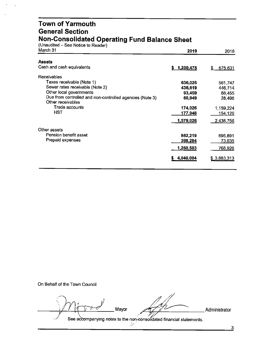#### **Town of Yarmouth General Section Non-Consolidated Operating Fund Balance Sheet**

(Unaudited - See Notice to Reader)

| March 31                                                                      | 2019            | 2018          |
|-------------------------------------------------------------------------------|-----------------|---------------|
| <b>Assets</b>                                                                 |                 |               |
| Cash and cash equivalents                                                     | 1,200,475<br>S. | 675,631<br>S  |
| <b>Receivables</b>                                                            |                 |               |
| Taxes receivable (Note 1)                                                     | 636,025         | 561,747       |
| Sewer rates receivable (Note 2)                                               | 436,619         | 446,714       |
| Other local governments                                                       | 93,459          | 88,455        |
| Due from controlled and non-controlled agencies (Note 3)<br>Other receivables | 60,949          | 28,496        |
| Trade accounts                                                                | 174,026         | 1,159,224     |
| HST                                                                           | 177,948         | 154,120       |
|                                                                               | 1,579,026       | 2,438,756     |
| Other assets                                                                  |                 |               |
| Pension benefit asset                                                         | 862,219         | 695,891       |
| Prepaid expenses                                                              | 398,284         | <u>73,035</u> |
|                                                                               | 1,260,503       | 768,926       |
|                                                                               | 4,040,004       | \$3,883,313   |
|                                                                               |                 |               |

On Behalf of the Town Council

Mayor<br>
See accompanying notes to the non-consolidated financial statements.

3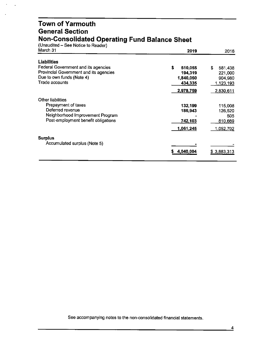### **Town of Yarmouth General Section Non-Consolidated Operating Fund Balance Sheet**

(Unaudited – See Notice to Reader)

 $\ddot{\phantom{a}}$ 

| March 31                               | 2019         | 2018             |
|----------------------------------------|--------------|------------------|
| <b>Liabilities</b>                     |              |                  |
| Federal Government and its agencies    | S<br>510,055 | S<br>581,438     |
| Provincial Government and its agencies | 194,319      | 221,000          |
| Due to own funds (Note 4)              | 1,840,050    | 904,980          |
| Trade accounts                         | 434,335      | 1,123,193        |
|                                        | 2,978,759    | 2,830,611        |
| <b>Other liabilities</b>               |              |                  |
| Prepayment of taxes                    | 132,199      | 115,008          |
| Deferred revenue                       | 186,943      | 126,520          |
| Neighborhood Improvement Program       |              | 505              |
| Post-employment benefit obligations    | 742,103      | 810,669          |
|                                        | 1,061,245    | <u>1,052,702</u> |
| <b>Surplus</b>                         |              |                  |
| Accumulated surplus (Note 5)           |              |                  |
|                                        | 4,040,004    | \$3,883,313      |
|                                        |              |                  |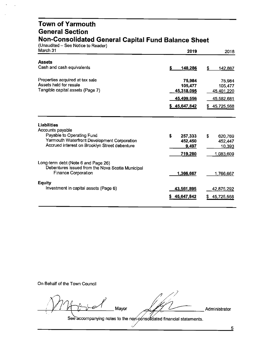#### **Town of Yarmouth General Section Non-Consolidated General Capital Fund Balance Sheet**

(Unaudited – See Notice to Reader)

| March 31                                                                                                              | 2019                                                                  | 2018                                                                 |
|-----------------------------------------------------------------------------------------------------------------------|-----------------------------------------------------------------------|----------------------------------------------------------------------|
| <b>Assets</b>                                                                                                         | \$                                                                    | \$                                                                   |
| Cash and cash equivalents                                                                                             | 148,286                                                               | 142,887                                                              |
| Properties acquired at tax sale<br>Assets held for resale<br>Tangible capital assets (Page 7)                         | 75,984<br>105,477<br>45,318,095<br><u>45,499,5</u> 56<br>\$45,647,842 | 75,984<br>105,477<br>45,401,220<br><u>45,582,681</u><br>\$45,725,568 |
| Liabilities                                                                                                           | \$                                                                    | \$                                                                   |
| Accounts payable                                                                                                      | 257,333                                                               | 620,769                                                              |
| Payable to Operating Fund                                                                                             | 452,450                                                               | 452,447                                                              |
| Yarmouth Waterfront Development Corporation                                                                           | 9,497                                                                 | 10,393                                                               |
| Accrued interest on Brooklyn Street debenture                                                                         | 719,280                                                               | 1,083,609                                                            |
| Long-term debt (Note 6 and Page 26)<br>Debentures issued from the Nova Scotia Municipal<br><b>Finance Corporation</b> | 1,366,667                                                             | 1,766,667                                                            |
| <b>Equity</b>                                                                                                         | 43,561,895                                                            | 42,875,292                                                           |
| Investment in capital assets (Page 6)                                                                                 | 45,647,842                                                            | 45,725,568                                                           |

On Behalf of the Town Council

*·Qz v1· . ' , II ,*  $M11:$   $M$  $\frac{1}{2}$   $\frac{1}{2}$   $\frac{1}{2}$   $\frac{1}{2}$   $\frac{1}{2}$   $\frac{1}{2}$   $\frac{1}{2}$   $\frac{1}{2}$   $\frac{1}{2}$   $\frac{1}{2}$   $\frac{1}{2}$   $\frac{1}{2}$   $\frac{1}{2}$   $\frac{1}{2}$   $\frac{1}{2}$   $\frac{1}{2}$   $\frac{1}{2}$   $\frac{1}{2}$   $\frac{1}{2}$   $\frac{1}{2}$   $\frac{1}{2}$   $\frac{1}{2}$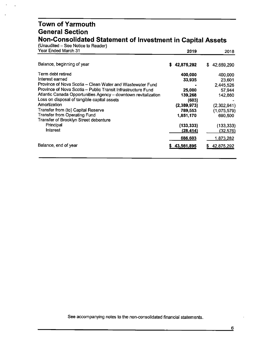#### **Town of Yarmouth General Section Non-Consolidated Statement of Investment in Capital Assets**

| (Unaudited – See Notice to Reader)<br>Year Ended March 31      | 2019         | 2018             |
|----------------------------------------------------------------|--------------|------------------|
| Balance, beginning of year                                     | \$42,875,292 | 42,659,290<br>S. |
| Term debt retired                                              | 400,000      | 400,000          |
| Interest earned                                                | 33,935       | 23,601           |
| Province of Nova Scotia - Clean Water and Wastewater Fund      |              | 2,445,526        |
| Province of Nova Scotia - Public Transit Infrastructure Fund   | 25,000       | 57,944           |
| Atlantic Canada Opportunities Agency - downtown revitalization | 139,268      | 142,860          |
| Loss on disposal of tangible capital assets                    | (603)        |                  |
| Amortization                                                   | (2,389,973)  | (2,302,941)      |
| Transfer from (to) Capital Reserve                             | 789,553      | (1,075,579)      |
| <b>Transfer from Operating Fund</b>                            | 1,851,170    | 690,500          |
| Transfer of Brooklyn Street debenture                          |              |                  |
| Principal                                                      | (133,333)    | (133, 333)       |
| Interest                                                       | (28,414)     | (32,576)         |
|                                                                | 686,603      | <u>1,873,282</u> |
| Balance, end of year                                           | 43,561,895   | 42,875,292<br>S  |
|                                                                |              |                  |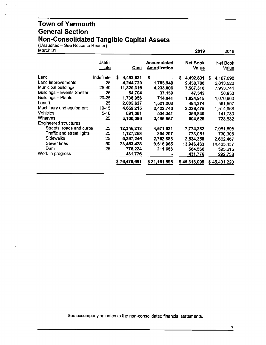#### **Town of Yarmouth General Section Non-Consolidated Tangible Capital Assets**

(Unaudited – See Notice to Reader)

| March 31                          |                       |                |                                           | 2019                            | 2018              |
|-----------------------------------|-----------------------|----------------|-------------------------------------------|---------------------------------|-------------------|
|                                   | <b>Useful</b><br>Life | Cost           | <b>Accumulated</b><br><b>Amortization</b> | <b>Net Book</b><br><b>Value</b> | Net Book<br>Value |
| Land                              | Indefinite            | S<br>4,492,831 | \$                                        | S<br>4,492,831                  | 4,107,098<br>S    |
| Land improvements                 | 25                    | 4,244,720      | 1,785,940                                 | 2,458,780                       | 2,613,520         |
| Municipal buildings               | 25-40                 | 11,820,316     | 4.233,006                                 | 7,587,310                       | 7,913,741         |
| <b>Buildings - Events Shelter</b> | 25                    | 84,704         | 37,159                                    | 47,545                          | 50,933            |
| Buildings - Plants                | $20 - 25$             | 1,738,956      | 714,041                                   | 1,024,915                       | 1,070,960         |
| Landfill                          | 25                    | 2,005,637      | 1,521,263                                 | 484,374                         | 561,507           |
| Machinery and equipment           | $10 - 15$             | 4,659,215      | 2,422,740                                 | 2,236,475                       | 1,514,968         |
| <b>Vehicles</b>                   | $5 - 10$              | 891,081        | 534,241                                   | 356,840                         | 141,780           |
| Wharves                           | 25                    | 3,100,086      | 2,495,557                                 | 604,529                         | 728,532           |
| <b>Engineered structures</b>      |                       |                |                                           |                                 |                   |
| Streets, roads and curbs          | 25                    | 12,346,213     | 4,571,931                                 | 7,774,282                       | 7,951,598         |
| Traffic and street lights         | 25                    | 1,127,258      | 354,207                                   | 773,051                         | 790,306           |
| Sidewalks                         | 25                    | 5,297,246      | 2,762,888                                 | 2,534,358                       | 2,662,467         |
| Sewer lines                       | 50                    | 23,463,428     | 9,516,965                                 | 13,946,463                      | 14,405,457        |
| Dam                               | 25                    | 776,224        | 211,658                                   | 564,566                         | 595,615           |
| Work in progress                  |                       | 431,776        |                                           | 431,776                         | <u>292,738</u>    |
|                                   |                       | \$76,479,691   | \$31,161,596                              | \$45,318,095                    | \$45,401,220      |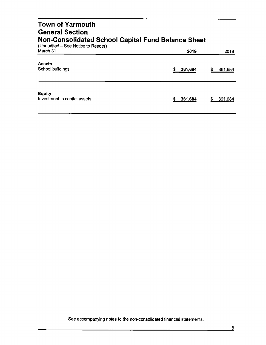| <b>Town of Yarmouth</b><br><b>General Section</b><br><b>Non-Consolidated School Capital Fund Balance Sheet</b> |              |              |  |  |  |
|----------------------------------------------------------------------------------------------------------------|--------------|--------------|--|--|--|
| (Unaudited – See Notice to Reader)<br>March 31                                                                 | 2019         | 2018         |  |  |  |
| <b>Assets</b><br>School buildings                                                                              | s<br>361,684 | S<br>361,684 |  |  |  |
| <b>Equity</b><br>Investment in capital assets                                                                  | 361,684      | S<br>361,684 |  |  |  |

 $\hat{\phantom{a}}$  $\overline{a}$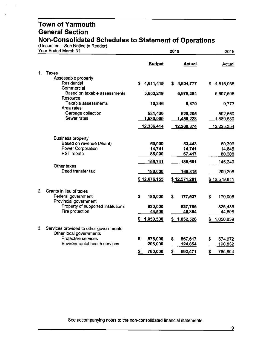(Unaudited – See Notice to Reader)

 $\bar{\mathbf{v}}$  $\overline{\phantom{a}}$ 

| Year Ended March 31 |                                                                   |                      | 2018                 |                      |
|---------------------|-------------------------------------------------------------------|----------------------|----------------------|----------------------|
|                     |                                                                   | <b>Budget</b>        | <b>Actual</b>        | Actual               |
| 1.                  | Taxes                                                             |                      |                      |                      |
|                     | Assessable property                                               |                      |                      |                      |
|                     | Residential<br>Commercial                                         | 4,611,419<br>\$      | \$4,604,777          | \$4,515,935          |
|                     | Based on taxable assessments<br>Resource                          | 5,653,219            | 5,676,294            | 5,607,506            |
|                     | Taxable assessments                                               | 10,346               | 9,870                | 9,773                |
|                     | Area rates                                                        |                      |                      |                      |
|                     | Garbage collection<br>Sewer rates                                 | 531,430<br>1,530,000 | 528,205<br>1,450,228 | 502,560<br>1,589,580 |
|                     |                                                                   |                      |                      |                      |
|                     |                                                                   | 12,336,414           | <u>12,269,374</u>    | 12,225,354           |
|                     | <b>Business property</b>                                          |                      |                      |                      |
|                     | Based on revenue (Aliant)                                         | 60,000               | 53,443               | 50,396               |
|                     | <b>Power Corporation</b>                                          | 14,741               | 14,741               | 14,645               |
|                     | <b>HST</b> rebate                                                 | 85,000               | 67,417               | 80,208               |
|                     |                                                                   | 159,741              | 135,601              | 145,249              |
|                     | Other taxes<br>Deed transfer tax                                  |                      |                      |                      |
|                     |                                                                   | <u>180,000</u>       | 166,316              | 209,208              |
|                     |                                                                   | \$12,676,155         | \$12,571,291         | \$12,579,811         |
| 2.                  | Grants in lieu of taxes                                           |                      |                      |                      |
|                     | Federal government                                                | \$<br>185,000        | \$<br>177,937        | \$<br>179,095        |
|                     | Provincial government                                             |                      |                      |                      |
|                     | Property of supported institutions<br>Fire protection             | 830,000              | 827,785              | 826,436              |
|                     |                                                                   | 44,500               | 46,804               | 44,508               |
|                     |                                                                   | 1,059,500            | 1,052,526<br>S.      | 1,050,039            |
| 3.                  | Services provided to other governments<br>Other local governments |                      |                      |                      |
|                     | <b>Protective services</b>                                        | \$<br>575,000        | \$<br>567,617        | \$<br>574,972        |
|                     | Environmental health services                                     | 205,000              | 124,854              | 190,832              |
|                     |                                                                   | <u>\$</u><br>780,000 | \$<br>692,471        | \$<br>765,804        |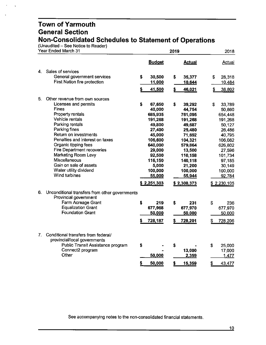$(Unaudited - See Notice to Reader)$ 

| Year Ended March 31 |                                                                     |    | 2019              |    |                   |    | 2018              |  |
|---------------------|---------------------------------------------------------------------|----|-------------------|----|-------------------|----|-------------------|--|
|                     |                                                                     |    | <b>Budget</b>     |    | <b>Actual</b>     |    | Actual            |  |
| 4.                  | Sales of services                                                   |    |                   |    |                   |    |                   |  |
|                     | General government services                                         | \$ | 30,500            | \$ | 35,377            | \$ | 28,318            |  |
|                     | <b>First Nation fire protection</b>                                 |    | 11,000            |    | 10,644            |    | 10,484            |  |
|                     |                                                                     |    | 41,500            | \$ | 46,021            | \$ | 38,802            |  |
| 5.                  | Other revenue from own sources                                      |    |                   |    |                   |    |                   |  |
|                     | Licenses and permits                                                | S  | 67,650            | \$ | 39,292            | \$ | 33,789            |  |
|                     | <b>Fines</b>                                                        |    | 40,000            |    | 44,754            |    | 50,860            |  |
|                     | Property rentals                                                    |    | 685,935           |    | 761,095           |    | 654,448           |  |
|                     | Vehicle rentals                                                     |    | 191,268           |    | 191,268           |    | 191,268           |  |
|                     | Parking rentals                                                     |    | 49,800            |    | 49,687            |    | 50,127            |  |
|                     | Parking fines                                                       |    | 27,400            |    | 25,480            |    | 26,486            |  |
|                     | Return on investments<br>Penalties and interest on taxes            |    | 45,000            |    | 71,692            |    | 40,795            |  |
|                     | Organic tipping fees                                                |    | 106,600           |    | 104,321           |    | 106,082           |  |
|                     | <b>Fire Department recoveries</b>                                   |    | 640,000<br>29,000 |    | 579,864<br>13,500 |    | 626,802           |  |
|                     | Marketing Room Levy                                                 |    | 92,500            |    | 110,158           |    | 27,596<br>101,734 |  |
|                     | <b>Miscellaneous</b>                                                |    | 116,150           |    | 140,118           |    | 97,185            |  |
|                     | Gain on sale of assets                                              |    | 5,000             |    | 21,200            |    | 30,149            |  |
|                     | Water utility dividend                                              |    | 100,000           |    | 100,000           |    | 100,000           |  |
|                     | Wind turbines                                                       |    | 55,000            |    | 55,944            |    | 92,784            |  |
|                     |                                                                     |    | \$2,251,303       |    | \$2,308,373       |    | \$2,230,105       |  |
| 6.                  | Unconditional transfers from other governments                      |    |                   |    |                   |    |                   |  |
|                     | Provincial government                                               |    |                   |    |                   |    |                   |  |
|                     | Farm Acreage Grant                                                  | \$ | 219               | \$ | 231               | \$ | 236               |  |
|                     | <b>Equalization Grant</b>                                           |    | 677,968           |    | 677,970           |    | 677,970           |  |
|                     | <b>Foundation Grant</b>                                             |    | 50,000            |    | 50,000            |    | 50,000            |  |
|                     |                                                                     | S  | 728,187           |    | 728,201           | S  | 728,206           |  |
|                     |                                                                     |    |                   |    |                   |    |                   |  |
| 7.                  | Conditional transfers from federal/<br>provincial/local governments |    |                   |    |                   |    |                   |  |
|                     | Public Transit Assistance program                                   | \$ |                   | \$ |                   | \$ | 25,000            |  |
|                     | Connect2 program                                                    |    |                   |    | 13,000            |    | 17,000            |  |
|                     | Other                                                               |    | 50,000            |    | 2,359             |    | 1,477             |  |
|                     |                                                                     | \$ | 50,000            | \$ | 15,359            | \$ | 43,477            |  |
|                     |                                                                     |    |                   |    |                   |    |                   |  |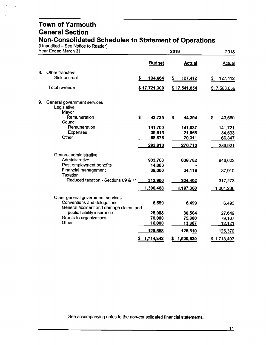(Unaudited - See Notice to Reader)

| Year Ended March 31 |                                                                       | 2019 |               |    |               | 2018 |              |
|---------------------|-----------------------------------------------------------------------|------|---------------|----|---------------|------|--------------|
|                     |                                                                       |      | <b>Budget</b> |    | <b>Actual</b> |      | Actual       |
| 8.                  | Other transfers                                                       |      |               |    |               |      |              |
|                     | Sick accrual                                                          | \$   | 134,664       | S  | 127,412       | S    | 127,412      |
|                     | Total revenue                                                         |      | \$17,721,309  |    | \$17,541,654  |      | \$17,563,656 |
| 9.                  | General government services<br>Legislative                            |      |               |    |               |      |              |
|                     | Mayor<br>Remuneration<br>Council                                      | \$   | 43,725        | \$ | 44,294        | \$   | 43,660       |
|                     | Remuneration                                                          |      | 141,700       |    | 141,037       |      | 141,721      |
|                     | <b>Expenses</b>                                                       |      | 39,515        |    | 21,068        |      | 34,693       |
|                     | Other                                                                 |      | 68,876        |    | 70,311        |      | 66,847       |
|                     |                                                                       |      | 293,816       |    | 276,710       |      | 286,921      |
|                     | General administrative                                                |      |               |    |               |      |              |
|                     | Administrative                                                        |      | 933,768       |    | 838,782       |      | 946,023      |
|                     | Post employment benefits                                              |      | 14,800        |    |               |      |              |
|                     | Financial management<br><b>Taxation</b>                               |      | 39,000        |    | 34,116        |      | 37,910       |
|                     | Reduced taxation - Sections 69 & 71                                   |      | 312,900       |    | 324,402       |      | 317,273      |
|                     |                                                                       |      | 1,300,468     |    | 1,197,300     |      | 1,301,206    |
|                     | Other general government services                                     |      |               |    |               |      |              |
|                     | Conventions and delegations<br>General accident and damage claims and |      | 6,550         |    | 6.499         |      | 6,493        |
|                     | public liability insurance                                            |      | 28,008        |    | 30,504        |      | 27,649       |
|                     | Grants to organizations                                               |      | 70,000        |    | 75,800        |      | 79,107       |
|                     | Other                                                                 |      | 16,000        |    | 13,807        |      | 12,121       |
|                     |                                                                       |      | 120,558       |    | 126,610       |      | 125,370      |
|                     |                                                                       | \$   | 1,714,842     |    | 1,600,620     |      | \$1,713,497  |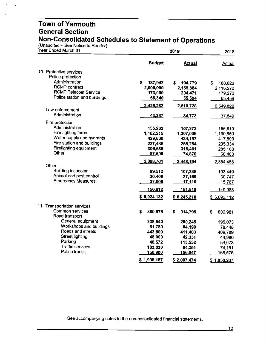(Unaudited – See Notice to Reader)

 $\ddot{\phantom{a}}$  $\ddot{\phantom{a}}$ 

| Year Ended March 31               |               | 2018          |                    |
|-----------------------------------|---------------|---------------|--------------------|
|                                   | <b>Budget</b> | <b>Actual</b> | <b>Actual</b>      |
| 10. Protective services           |               |               |                    |
| Police protection                 |               |               |                    |
| Administration                    | s<br>187,942  | \$<br>194,779 | \$<br>188,820      |
| <b>RCMP</b> contract              | 2,006,000     | 2,155,884     | 2,116,270          |
| <b>RCMP Telecom Service</b>       | 173,000       | 204,471       | 179,273            |
| Police station and buildings      | 58,340        | 55,594        | 65,459             |
|                                   | 2,425,282     | 2,610,728     | 2,549,822          |
| Law enforcement<br>Administration |               |               |                    |
|                                   | 43,237        | 34,773        | 37,849             |
| Fire protection                   |               |               |                    |
| Administration                    | 155,262       | 157,373       | 156,810            |
| Fire fighting force               | 1,182,215     | 1,207,039     | 1,190,850          |
| Water supply and hydrants         | 429,600       | 434,197       | 417,893            |
| Fire station and buildings        | 237,436       | 258,254       | 235,334            |
| Firefighting equipment<br>Other   | 306,688       | 316,461       | 285,108            |
|                                   | 87,500        | 74,870        | 68,463             |
| Other                             | 2,398,701     | 2,448,194     | 2,354,458          |
| <b>Building inspector</b>         | 99,512        | 107,236       | 103,449            |
| Animal and pest control           | 30,400        | 27,169        | 30,747             |
| <b>Emergency Measures</b>         | 27,000        | 17,110        | <u>15,787</u>      |
|                                   | 156,912       | 151,515       | 149,983            |
|                                   | \$5,024,132   | \$5,245,210   | \$.5,092,112       |
| 11. Transportation services       |               |               |                    |
| Common services                   | \$<br>880,875 | \$<br>914,795 | \$                 |
| Road transport                    |               |               | 802,981            |
| General equipment                 | 238,540       | 200,245       | 195,073            |
| Workshops and buildings           | 81,780        | 84,190        | 78,448             |
| Roads and streets                 | 443,500       | 411,483       | 409,789            |
| Street lighting                   | 48,000        | 42,331        | 44,986             |
| Parking                           | 48,572        | 113,532       | 84,073             |
| <b>Traffic services</b>           | 103,020       | 84,351        | 74,181             |
| Public transit                    | 150,900       | 156,547       | 168,676            |
|                                   | \$1,995,187   | \$2,007,474   | <u>\$1,858,207</u> |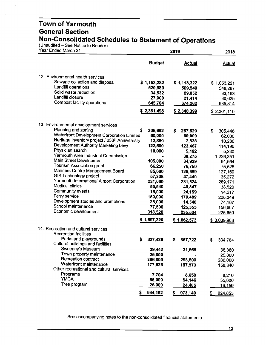(Unaudited - See Notice to Reader)

 $\ddot{\phantom{a}}$ 

| Year Ended March 31                                        |                 | 2019                    |               |  |  |
|------------------------------------------------------------|-----------------|-------------------------|---------------|--|--|
|                                                            | <b>Budget</b>   | <b>Actual</b>           | Actual        |  |  |
| 12. Environmental health services                          |                 |                         |               |  |  |
| Sewage collection and disposal                             | \$1,153,282     | \$1,113,322             | \$1,053,221   |  |  |
| Landfill operations                                        | 520,980         | 509,549                 | 548,287       |  |  |
| Solid waste reduction                                      | 34,532          | 29,852                  | 33,163        |  |  |
| Landfill closure                                           | 27,000          | 21,414                  | 30,625        |  |  |
| Compost facility operations                                | 645,704         | 674,262                 | 635,814       |  |  |
|                                                            | \$2,381,498     | \$2,348,399             | \$2,301,110   |  |  |
| 13. Environmental development services                     |                 |                         |               |  |  |
| Planning and zoning                                        | \$<br>305,692   | \$<br>287,529           | \$<br>305,446 |  |  |
| Waterfront Development Corporation Limited                 | 60,000          | 60,000                  | 62,000        |  |  |
| Heritage inventory project / 250 <sup>th</sup> Anniversary | 12,880          | 2,838                   | 10,280        |  |  |
| Development Authority Marketing Levy                       | 122,500         | 123,467                 | 114,190       |  |  |
| Physician search                                           | 10,000          | 5,192                   | 5,230         |  |  |
| Yarmouth Area Industrial Commission                        |                 | 38,275                  | 1,226,351     |  |  |
| Main Street Development                                    | 105,000         | 34,929                  | 91,664        |  |  |
| <b>Tourism Association grant</b>                           | 66,250          | 76,750                  | 75,625        |  |  |
| Mariners Centre Management Board                           | 85,000          | 125,699                 | 127,169       |  |  |
| GIS Technology project                                     | 57,338          | 47,440                  | 35,272        |  |  |
| Yarmouth International Airport Corporation                 | 231,000         | 231,524                 | 269,171       |  |  |
| Medical clinics                                            | 55,540          | 49,847                  | 38,520        |  |  |
| Community events                                           | 15,000          | 24,159                  | 14,217        |  |  |
| Ferry service                                              | 150,000         | 179,489                 | 208,349       |  |  |
| Development studies and promotions                         | 25,000          | 14,548                  | 74,167        |  |  |
| School maintenance                                         | 77,500          | 125,353                 | 156,607       |  |  |
| Economic development                                       | 318,520         | <u>235,534</u>          | 225,650       |  |  |
|                                                            | \$1,697,220     | \$1,662,573             | \$ 3,039,908  |  |  |
| 14. Recreation and cultural services                       |                 |                         |               |  |  |
| <b>Recreation facilities</b>                               |                 |                         |               |  |  |
| Parks and playgrounds                                      | 327,420<br>s    | \$<br>357,722           | S<br>334,784  |  |  |
| Cultural buildings and facilities                          |                 |                         |               |  |  |
| Sweeney's Museum                                           | 39,442          | 31,665                  | 38,360        |  |  |
| Town property maintenance<br>Recreation contract           | 25,000          |                         | 25,000        |  |  |
| Waterfront maintenance                                     | 286,000         | 298,500                 | 286,000       |  |  |
| Other recreational and cultural services                   | 177,626         | 197,973                 | 158,340       |  |  |
| Programs                                                   |                 |                         |               |  |  |
| <b>YMCA</b>                                                | 7,704<br>55,000 | 8,658                   | 8,210         |  |  |
| Tree program                                               | 26,000          | 54,146<br><u>24,485</u> | 55,000        |  |  |
|                                                            |                 |                         | 19,159        |  |  |
|                                                            | 944,192         | 973,149                 | 924,853<br>\$ |  |  |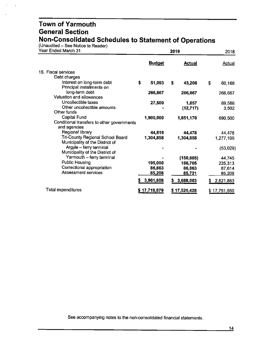(Unaudited – See Notice to Reader)

| Year Ended March 31                                                 | 2019          |    |               |    | 2018          |  |
|---------------------------------------------------------------------|---------------|----|---------------|----|---------------|--|
|                                                                     | <b>Budget</b> |    | <b>Actual</b> |    | <b>Actual</b> |  |
| 15. Fiscal services                                                 |               |    |               |    |               |  |
| Debt charges                                                        |               |    |               |    |               |  |
| Interest on long-term debt<br>Principal installments on             | \$<br>51,093  | \$ | 43,206        | \$ | 60,168        |  |
| long-term debt<br>Valuation and allowances                          | 266,667       |    | 266,667       |    | 266,667       |  |
| Uncollectible taxes                                                 | 27,500        |    | 1,857         |    | 89,588        |  |
| Other uncollectible amounts                                         |               |    | (12, 717)     |    | 3,502         |  |
| Other funds                                                         |               |    |               |    |               |  |
| Capital Fund                                                        | 1,900,000     |    | 1,851,170     |    | 690,500       |  |
| Conditional transfers to other governments<br>and agencies          |               |    |               |    |               |  |
| Regional library                                                    | 44,619        |    | 44.478        |    | 44,478        |  |
| Tri-County Regional School Board<br>Municipality of the District of | 1,304,858     |    | 1,304,858     |    | 1,277,109     |  |
| Argyle - ferry terminal<br>Municipality of the District of          |               |    |               |    | (53,029)      |  |
| Yarmouth - ferry terminal                                           |               |    | (150, 805)    |    | 44,745        |  |
| <b>Public Housing</b>                                               | 195,000       |    | 166,705       |    | 225,313       |  |
| Correctional appropriation                                          | 86,863        |    | 86,863        |    | 87,614        |  |
| <b>Assessment services</b>                                          | 85,208        |    | 85,721        |    | 85,208        |  |
|                                                                     |               |    |               |    |               |  |
|                                                                     | 3,961,808     |    | \$3,688,003   | S  | 2,821,863     |  |
| Total expenditures                                                  | \$17,718,879  |    | \$17,525,428  |    | \$17,751,550  |  |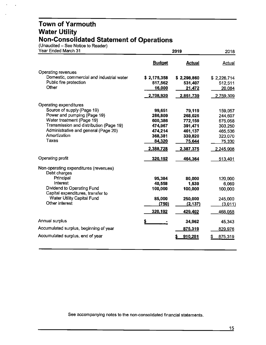#### **Town of Yarmouth Water Utility Non-Consolidated Statement of Operations**

(Unaudited - See Notice to Reader)

 $\ddot{\phantom{a}}$ 

| Year Ended March 31                                             |               | 2018          |             |
|-----------------------------------------------------------------|---------------|---------------|-------------|
|                                                                 | <b>Budget</b> | <b>Actual</b> | Actual      |
| Operating revenues                                              |               |               |             |
| Domestic, commercial and industrial water                       | \$2,175,358   | \$2,298,860   | \$2,226,714 |
| Public fire protection                                          | 517,562       | 531,407       | 512,511     |
| Other                                                           | 16,000        | 21,472        | 20,084      |
|                                                                 | 2,708,920     | 2,851,739     | 2,759,309   |
| Operating expenditures                                          |               |               |             |
| Source of supply (Page 19)                                      | 99,651        | 79,119        | 159,057     |
| Power and pumping (Page 19)                                     | 286,809       | 268,025       | 244,607     |
| Water treatment (Page 19)                                       | 600,386       | 772,159       | 675,058     |
| Transmission and distribution (Page 19)                         | 474,967       | 391,471       | 303,250     |
| Administrative and general (Page 20)                            | 474,214       | 461,137       | 465,536     |
| Amortization                                                    | 368,381       | 339,820       | 323,070     |
| Taxes                                                           | 84,320        | 75,644        | 75,330      |
|                                                                 | 2,388,728     | 2,387,375     | 2,245,908   |
| Operating profit                                                | 320,192       | 464,364       | 513,401     |
| Non-operating expenditures (revenues)                           |               |               |             |
| Debt charges                                                    |               |               |             |
| Principal                                                       | 95,384        | 80,000        | 120,000     |
| Interest                                                        | 40,558        | 1,539         | 6,069       |
| Dividend to Operating Fund<br>Capital expenditures, transfer to | 100,000       | 100,000       | 100,000     |
| Water Utility Capital Fund                                      | 85,000        | 250,000       | 245,000     |
| Other interest                                                  | (750)         | (2, 137)      | (3,011)     |
|                                                                 |               |               |             |
|                                                                 | 320,192       | 429,402       | 468,058     |
| Annual surplus                                                  |               | 34,962        | 45,343      |
| Accumulated surplus, beginning of year                          |               | 875,319       | 829,976     |
| Accumulated surplus, end of year                                |               | 910,281       | 875,319     |
|                                                                 |               |               |             |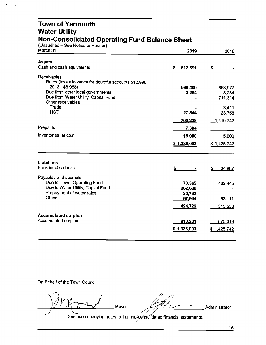#### **Town of Yarmouth Water Utility Non-Consolidated Operating Fund Balance Sheet**

| (Unaudited – See Notice to Reader)                              |                  |                  |
|-----------------------------------------------------------------|------------------|------------------|
| March 31                                                        | 2019             | 2018             |
| <b>Assets</b>                                                   |                  |                  |
| Cash and cash equivalents                                       | \$<br>612,391    | \$               |
|                                                                 |                  |                  |
| Receivables                                                     |                  |                  |
| Rates (less allowance for doubtful accounts \$12,990;           |                  |                  |
| $2018 - $8,968$<br>Due from other local governments             | 669,400          | 668,977          |
| Due from Water Utility, Capital Fund                            | 3,284            | 3,284<br>711,314 |
| Other receivables                                               |                  |                  |
| Trade                                                           |                  | 3,411            |
| <b>HST</b>                                                      | 27,544           | 23,756           |
|                                                                 | 700,228          | 1,410,742        |
| Prepaids                                                        | 7,384            |                  |
|                                                                 |                  |                  |
| Inventories, at cost                                            | 15,000           | 15,000           |
|                                                                 | \$1,335,003      | \$1,425,742      |
|                                                                 |                  |                  |
| <b>Liabilities</b>                                              |                  |                  |
| <b>Bank indebtedness</b>                                        | \$               | \$<br>34,867     |
|                                                                 |                  |                  |
| Payables and accruals                                           |                  |                  |
| Due to Town, Operating Fund                                     | 73,365           | 462,445          |
| Due to Water Utility, Capital Fund<br>Prepayment of water rates | 262,630          |                  |
| Other                                                           | 20,783<br>67,944 | 53,111           |
|                                                                 |                  |                  |
|                                                                 | 424,722          | 515,556          |
| <b>Accumulated surplus</b>                                      |                  |                  |
| <b>Accumulated surplus</b>                                      | 910,281          | 875,319          |
|                                                                 | \$1,335,003      | \$1,425,742      |
|                                                                 |                  |                  |
|                                                                 |                  |                  |

On Behalf of the Town Council

 $M \rightarrow d$  Mayor  $M$  $t \rightarrow t$   $t$   $t$   $t$ *I .. . .*

. , Mayor . . ,,,. {\_,,-----. Administrator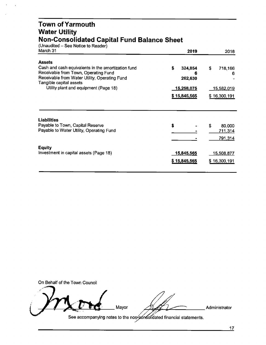#### **Town ofYarmouth Water Utility Non-Consolidated Capital Fund Balance Sheet**

| (Unaudited – See Notice to Reader)<br>March 31                                                                                              | 2019                               | 2018               |
|---------------------------------------------------------------------------------------------------------------------------------------------|------------------------------------|--------------------|
| <b>Assets</b>                                                                                                                               |                                    |                    |
| Cash and cash equivalents in the amortization fund<br>Receivable from Town, Operating Fund<br>Receivable from Water Utility, Operating Fund | \$<br>324,854                      | \$<br>718,166<br>6 |
| Tangible capital assets                                                                                                                     | 262,630                            |                    |
| Utility plant and equipment (Page 18)                                                                                                       | <u>15,</u> 258,075<br>\$15,845,565 | <u>15,582,019</u>  |
|                                                                                                                                             |                                    | \$16,300,191       |
| <b>Liabilities</b>                                                                                                                          |                                    |                    |
| Payable to Town, Capital Reserve<br>Payable to Water Utility, Operating Fund                                                                | \$                                 | \$<br>80,000       |
|                                                                                                                                             |                                    | 711,314<br>791,314 |
|                                                                                                                                             |                                    |                    |
| <b>Equity</b><br>Investment in capital assets (Page 18)                                                                                     | 15,845,565                         | <u>15,508,877</u>  |
|                                                                                                                                             | \$15,845,565                       | \$16,300,191       |
|                                                                                                                                             |                                    |                    |

On Behalf of the Town Council  $\frac{1}{\sqrt{2\pi}}$ Administrator See accompanying notes to the non consolidated financial statements.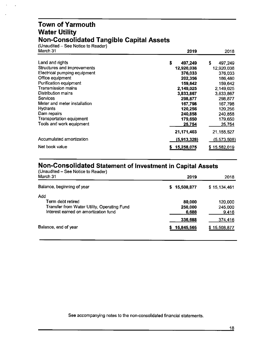#### **Town of Yarmouth Water Utility Non-Consolidated Tangible Capital Assets**

(Unaudited – See Notice to Reader)<br>March 31

| March 31                        | 2019          | 2018          |
|---------------------------------|---------------|---------------|
| Land and rights                 | \$<br>497,249 | \$<br>497,249 |
| Structures and improvements     | 12,920,038    | 12,920,038    |
| Electrical pumping equipment    | 376,033       | 376,033       |
| Office equipment                | 202,356       | 186,480       |
| Purification equipment          | 159,642       | 159,642       |
| <b>Transmission mains</b>       | 2,149,025     | 2,149,025     |
| Distribution mains              | 3,833,867     | 3,833,867     |
| <b>Services</b>                 | 298,877       | 298,877       |
| Meter and meter installation    | 167,798       | 167,798       |
| <b>Hydrants</b>                 | 120,256       | 120,256       |
| Dam repairs                     | 240,858       | 240,858       |
| <b>Transportation equipment</b> | 179,650       | 179,650       |
| Tools and work equipment        | 25,754        | 25,754        |
|                                 | 21,171,403    | 21, 155, 527  |
| Accumulated amortization        | (5,913,328)   | (5,573,508)   |
| Net book value                  | 15,258,075    | \$15,582,019  |

## **Non-Consolidated Statement of Investment in Capital Assets**

| (Unaudited – See Notice to Reader)<br>March 31                                                                  | 2019                       | 2018                        |
|-----------------------------------------------------------------------------------------------------------------|----------------------------|-----------------------------|
| Balance, beginning of year                                                                                      | 15,508,877<br>S.           | \$15,134,461                |
| Add<br>Term debt retired<br>Transfer from Water Utility, Operating Fund<br>Interest earned on amortization fund | 80,000<br>250,000<br>6,688 | 120,000<br>245,000<br>9,416 |
| Balance, end of year                                                                                            | 336,688<br>15,845,565      | 374,416<br>\$15,508,877     |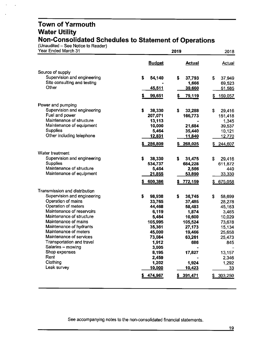#### **Town of Yarmouth Water Utility Non-Consolidated Schedules to Statement of Operations**

 $(Unaudited - See Notice to Reader)$ 

| Year Ended March 31                                  |                 | 2018                |                  |
|------------------------------------------------------|-----------------|---------------------|------------------|
|                                                      | <b>Budget</b>   | <b>Actual</b>       | <b>Actual</b>    |
| Source of supply                                     |                 |                     |                  |
| Supervision and engineering                          | \$<br>54,140    | \$<br>37,793        | \$<br>37,949     |
| Site consulting and testing                          |                 | 1,666               | 69,523           |
| Other                                                | <u>45,511</u>   | 39,660              | 51,585           |
|                                                      | 99,651          | 79,119              | 159,057          |
| Power and pumping                                    |                 |                     |                  |
| Supervision and engineering                          | \$<br>38,330    | \$<br>32,288        | \$<br>29,416     |
| Fuel and power                                       | 207,071         | 166,773             | 151,418          |
| Maintenance of structure                             | 13,113          |                     | 1,345            |
| Maintenance of equipment<br><b>Supplies</b>          | 10,000          | 21,684              | 39,537           |
| Other including telephone                            | 5,464<br>12,831 | 35,440<br>11,840    | 10,121<br>12,770 |
|                                                      |                 |                     |                  |
|                                                      | 286,809         | 268,025             | 244,607          |
| Water treatment                                      |                 |                     |                  |
| Supervision and engineering                          | \$<br>38,330    | \$<br>31,475        | \$<br>29,416     |
| Supplies                                             | 534,737         | 684,228             | 611,872          |
| Maintenance of structure<br>Maintenance of equipment | 5,464           | 2,566               | 440              |
|                                                      | <u>21,855</u>   | 53,890              | 33,330           |
|                                                      | 600,386         | <u>772,159</u><br>5 | 675,058          |
| Transmission and distribution                        |                 |                     |                  |
| Supervision and engineering                          | \$<br>98,938    | \$<br>36,745        | \$<br>58,699     |
| Operation of mains                                   | 33,765          | 37,485              | 28,278           |
| Operation of meters<br>Maintenance of reservoirs     | 44,468          | 58,483              | 45,163           |
| Maintenance of structure                             | 6,119<br>5,464  | 1,874<br>10,600     | 3,465<br>10,029  |
| Maintenance of mains                                 | 105,995         | 105,524             | 73,678           |
| Maintenance of hydrants                              | 35,361          | 27,173              | 15,134           |
| Maintenance of meters                                | 45,000          | 19,466              | 25,658           |
| Maintenance of services                              | 73,084          | 63,261              | 25,473           |
| Transportation and travel                            | 1,912           | 686                 | 845              |
| Salaries - mowing                                    | 3,005           |                     |                  |
| Shop expenses                                        | 8,195           | 17,827              | 13,157           |
| Rent                                                 | 2,459           |                     | 2,346            |
| Clothing<br>Leak survey                              | 1,202           | 1,924               | 1,292            |
|                                                      | <u>10,000</u>   | 10,423              | <u>33</u>        |
|                                                      | 474,967         | \$391,471           | \$303,250        |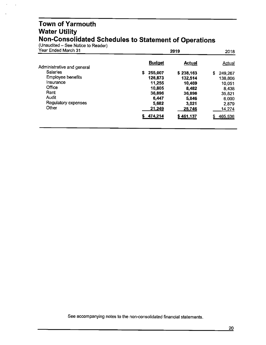#### **Town of Yarmouth Water Utility Non-Consolidated Schedules to Statement of Operations**

(Unaudited – See Notice to Reader)

 $\ddot{\phantom{a}}$ 

| Year Ended March 31        | 2019          | 2018          |               |
|----------------------------|---------------|---------------|---------------|
| Administrative and general | <b>Budget</b> | <b>Actual</b> | <u>Actual</u> |
| <b>Salaries</b>            | S.<br>255,007 | \$238,163     | \$<br>249,267 |
| <b>Employee benefits</b>   | 126,873       | 132,514       | 138,806       |
| Insurance                  | 11.255        | 10.469        | 10,051        |
| Office                     | 10,805        | 8,482         | 8,438         |
| Rent                       | 36,896        | 36,896        | 35,821        |
| Audit                      | 6,447         | 5,846         | 6,000         |
| Regulatory expenses        | 5,682         | 3,021         | 2,879         |
| Other                      | 21,249        | 25,746        | 14,274        |
|                            | 474,214       | \$461,137     | 465,536<br>5  |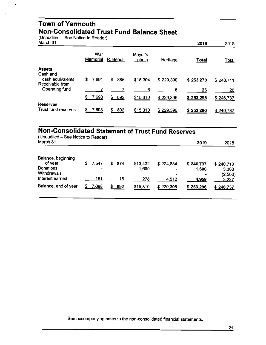#### **Town of Yarmouth Non-Consolidated Trust Fund Balance Sheet**

(Unaudited - See Notice to Reader)

| March 31                            |                 |           |                  |           | 2019         | 2018      |
|-------------------------------------|-----------------|-----------|------------------|-----------|--------------|-----------|
|                                     | War<br>Memorial | R. Bench  | Mayor's<br>photo | Heritage  | <b>Total</b> | Total     |
| <b>Assets</b>                       |                 |           |                  |           |              |           |
| Cash and                            |                 |           |                  |           |              |           |
| cash equivalents<br>Receivable from | \$<br>7.691     | \$<br>885 | \$15,304         | \$229,390 | \$253,270    | \$246,711 |
| Operating fund                      |                 |           | 6                | 6         | 26           | 26        |
|                                     | \$<br>7,698     | S.<br>892 | \$15,310         | \$229,396 | \$253,296    | \$246,737 |
| <b>Reserves</b>                     |                 |           |                  |           |              |           |
| Trust fund reserves                 | 7,698<br>S      | 892<br>S. | \$15,310         | \$229,396 | \$253,296    | \$246,737 |

## **Non-Consolidated Statement of Trust Fund Reserves**

| (Unaudited - See Notice to Reader)<br>March 31                               | 2019 | 2018                           |                   |                          |                                                |                             |                                        |
|------------------------------------------------------------------------------|------|--------------------------------|-------------------|--------------------------|------------------------------------------------|-----------------------------|----------------------------------------|
| Balance, beginning<br>of year<br>Donations<br>Withdrawals<br>Interest earned | S    | 7,547<br>$\blacksquare$<br>151 | \$ 874<br>-<br>18 | \$13,432<br>1,600<br>278 | \$224,884<br>$\overline{\phantom{a}}$<br>4,512 | \$246,737<br>1,600<br>4,959 | \$240,710<br>5,300<br>(2,500)<br>3,227 |
| Balance, end of year                                                         | S    | 7,698                          | 892               | \$15,310                 | \$229,396                                      | \$253,296                   | \$246,737                              |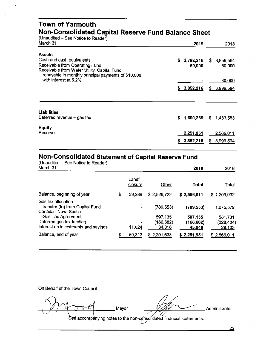#### **Town of Yarmouth Non-Consolidated Capital Reserve Fund Balance Sheet**

 $($ Unaudited – See Notice to Reader $\hat{y}$ <br>March 31

| March 31                                                                                           | 2019            | 2018             |
|----------------------------------------------------------------------------------------------------|-----------------|------------------|
| <b>Assets</b>                                                                                      |                 |                  |
| Cash and cash equivalents                                                                          | 3,792,216<br>\$ | 3,859,594<br>S.  |
| Receivable from Operating Fund                                                                     | 60,000          | 60,000           |
| Receivable from Water Utility, Capital Fund<br>repayable in monthly principal payments of \$10,000 |                 |                  |
| with interest at 5.2%                                                                              |                 | 80,000           |
|                                                                                                    | \$3,852,216     | 3,999,594<br>\$. |
|                                                                                                    |                 |                  |
| <b>Liabilities</b>                                                                                 |                 |                  |
| Deferred revenue - gas tax                                                                         | 1,600,265<br>\$ | S.<br>1.433.583  |
| <b>Equity</b>                                                                                      |                 |                  |
| Reserve                                                                                            | 2,251,951       | 2,566,011        |
|                                                                                                    | 3,852,216<br>5  | 3,999,594<br>S   |
|                                                                                                    |                 |                  |

#### **Non-Consolidated Statement of Capital Reserve Fund**

(Unaudited – See Notice to Reader)<br>March 31 March31 **2019** 2018 Landfill closure Other **Total** Total Balance,beginningof year \$ 39,289 \$ 2,526,722 \$ **2,566,011** \$ 1,209,032 Gas tax allocationtransfer (to) from Capital Fund - (789,553) **(789,553)** 1,075,579 Canada- Nova Scotia Gas Tax Agreement 697,135 597,135 581,701<br>Eferred gas tax funding the state of the set of the set of the set of the set of the set of the set of the set Deferred gas tax funding<br>Interest on investments and savings  $\frac{11,024}{234,016}$  (166,682) (328,404)<br>28,103 Interest on investments and savings Balance, end of year  $$ 50,313 $ 2,201,638 $ 2,251,951 $ 2,566,011$ 

On Behalf of the Town Council

 $M$  $M$  $\sigma$  $\rightarrow$ e $M$  Mayor  $\rightarrow$   $M$   $M$  Administrator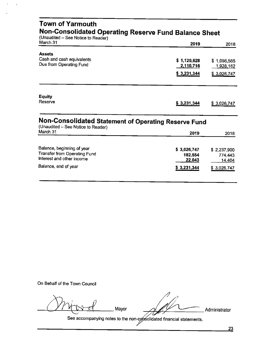| <b>Town of Yarmouth</b>                                                                        | Non-Consolidated Operating Reserve Fund Balance Sheet |                                         |
|------------------------------------------------------------------------------------------------|-------------------------------------------------------|-----------------------------------------|
| (Unaudited - See Notice to Reader)<br>March 31                                                 | 2019                                                  | 2018                                    |
| <b>Assets</b><br>Cash and cash equivalents<br>Due from Operating Fund                          | \$1,120,628<br>2,110,716<br>\$3,231,344               | \$1,098,585<br>1,928,162<br>\$3,026,747 |
| <b>Equity</b><br>Reserve                                                                       | \$3,231,344                                           | \$3,026,747                             |
| Non-Consolidated Statement of Operating Reserve Fund<br>(Unaudited - See Notice to Reader)     |                                                       |                                         |
| March 31                                                                                       | 2019                                                  | 2018                                    |
| Balance, beginning of year<br><b>Transfer from Operating Fund</b><br>Interest and other income | \$3,026,747<br>182,554<br>22.043                      | \$2,237,900<br>774,443<br>14,404        |
| Balance, end of year                                                                           | \$3,231,344                                           | \$3,026,747                             |

On Behalf of the Town Council

*U?Yb"v'"-Cf* Mayor

77

·'

Administrator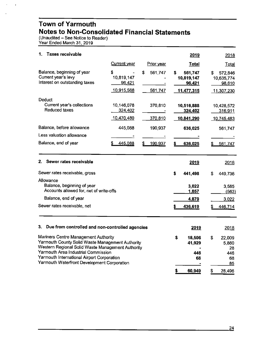#### **Town of Yarmouth Notes to Non-Consolidated Financial Statements**

(Unaudited - See Notice to Reader) Year Ended March 31, 2019

 $\mathbf{r}$ 

| 1.<br><b>Taxes receivable</b>                                                                                                                                                                                                                                                     |                                         |                          | 2019                                               | 2018                                               |
|-----------------------------------------------------------------------------------------------------------------------------------------------------------------------------------------------------------------------------------------------------------------------------------|-----------------------------------------|--------------------------|----------------------------------------------------|----------------------------------------------------|
|                                                                                                                                                                                                                                                                                   | Current year                            | Prior year               | <b>Total</b>                                       | <b>Total</b>                                       |
| Balance, beginning of year<br>Current year's levy<br>Interest on outstanding taxes                                                                                                                                                                                                | S<br>10,819,147<br>96,421<br>10,915,568 | \$<br>561,747<br>561,747 | 561,747<br>S<br>10,819,147<br>96,421<br>11,477,315 | s<br>572,846<br>10,635,774<br>98,610<br>11,307,230 |
| Deduct<br>Current year's collections<br>Reduced taxes                                                                                                                                                                                                                             | 10,146,078<br>324,402<br>10,470,480     | 370,810<br>370,810       | 10,516,888<br>324,402<br>10,841,290                | 10,428,572<br>316,911<br>10,745,483                |
| Balance, before allowance                                                                                                                                                                                                                                                         | 445,088                                 | 190,937                  | 636,025                                            | 561,747                                            |
| Less valuation allowance                                                                                                                                                                                                                                                          |                                         |                          |                                                    |                                                    |
| Balance, end of year                                                                                                                                                                                                                                                              | 445,088<br>S                            | 190,937<br>\$            | \$<br>636,025                                      | \$<br>561,747                                      |
| Sewer rates receivable<br>2.<br>Sewer rates receivable, gross                                                                                                                                                                                                                     |                                         |                          | 2019<br>\$<br>441,498                              | 2018<br>S<br>449,736                               |
| Allowance<br>Balance, beginning of year<br>Accounts allowed for, net of write-offs                                                                                                                                                                                                |                                         |                          | 3,022<br>1,857                                     | 3,585<br>(563)                                     |
| Balance, end of year                                                                                                                                                                                                                                                              |                                         |                          | 4,879                                              | 3,022                                              |
| Sewer rates receivable, net                                                                                                                                                                                                                                                       |                                         |                          | 436,619                                            | 446,714                                            |
| 3.<br>Due from controlled and non-controlled agencies                                                                                                                                                                                                                             |                                         |                          | 2019                                               | 2018                                               |
| Mariners Centre Management Authority<br>Yarmouth County Solid Waste Management Authority<br>Western Regional Solid Waste Management Authority<br>Yarmouth Area Industrial Commission<br>Yarmouth International Airport Corporation<br>Yarmouth Waterfront Development Corporation |                                         |                          | \$<br>18,506<br>41,929<br>446<br>68                | \$<br>22,009<br>5,860<br>28<br>446<br>68<br>85     |
|                                                                                                                                                                                                                                                                                   |                                         |                          | \$<br>60,949                                       | S<br>28,496                                        |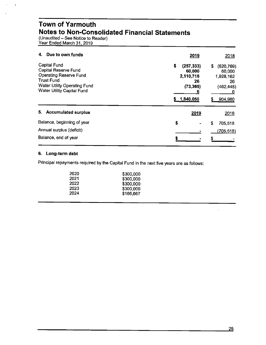#### **Town of Yarmouth Notes to Non-Consolidated Financial Statements**

(Unaudited - See Notice to Reader) Year Ended March 31, 2019

| Due to own funds<br>4.                                                                                                                                                 | 2019<br>2018                                                                                                                                               |
|------------------------------------------------------------------------------------------------------------------------------------------------------------------------|------------------------------------------------------------------------------------------------------------------------------------------------------------|
| <b>Capital Fund</b><br>Capital Reserve Fund<br><b>Operating Reserve Fund</b><br><b>Trust Fund</b><br><b>Water Utility Operating Fund</b><br>Water Utility Capital Fund | \$<br>(257, 333)<br>S<br>(620, 769)<br>60,000<br>60,000<br>2,110,716<br>1,928,162<br>26<br>26<br>(73, 365)<br>(462, 445)<br>6<br>6<br>1,840,050<br>904,980 |
| 5. Accumulated surplus                                                                                                                                                 | 2019<br>2018                                                                                                                                               |
| Balance, beginning of year                                                                                                                                             | \$<br>S<br>705,518                                                                                                                                         |
| Annual surplus (deficit)                                                                                                                                               | (705, 518)                                                                                                                                                 |
| Balance, end of year                                                                                                                                                   |                                                                                                                                                            |

#### **6. Long-term debt**

Principal repayments required by the Capital Fund in the next five years are as follows:

| 2020 | \$300,000 |
|------|-----------|
| 2021 | \$300,000 |
| 2022 | \$300,000 |
| 2023 | \$300,000 |
| 2024 | \$166,667 |
|      |           |

 $\hat{\mathbf{r}}$